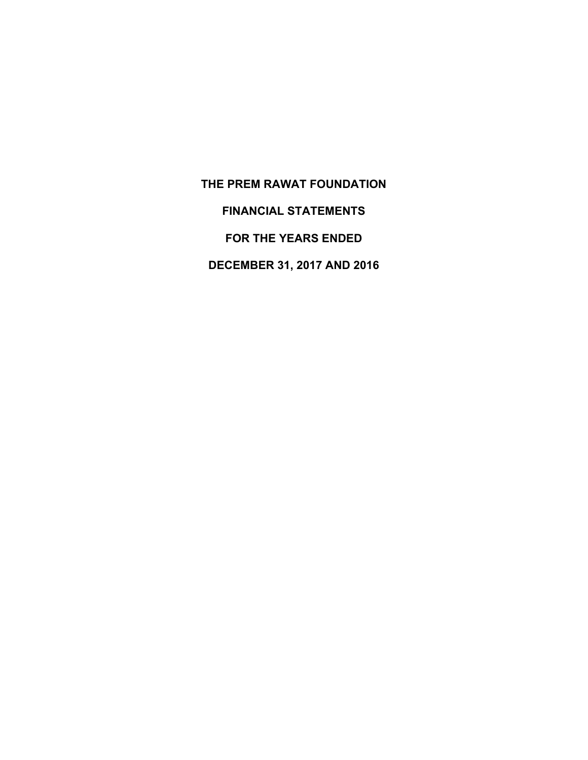**THE PREM RAWAT FOUNDATION** 

**FINANCIAL STATEMENTS** 

**FOR THE YEARS ENDED** 

**DECEMBER 31, 2017 AND 2016**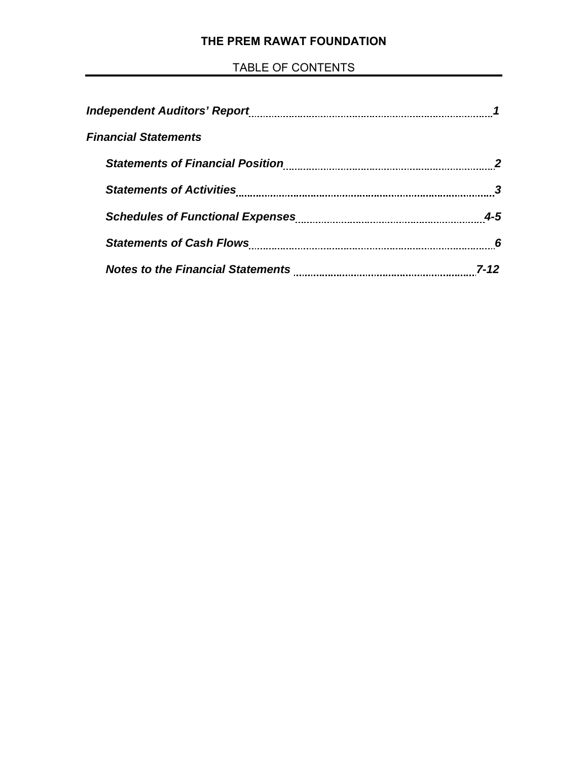# **THE PREM RAWAT FOUNDATION**

# TABLE OF CONTENTS

| <b>Financial Statements</b>             |     |
|-----------------------------------------|-----|
| <b>Statements of Financial Position</b> |     |
|                                         |     |
|                                         | 4-5 |
|                                         | 6   |
|                                         |     |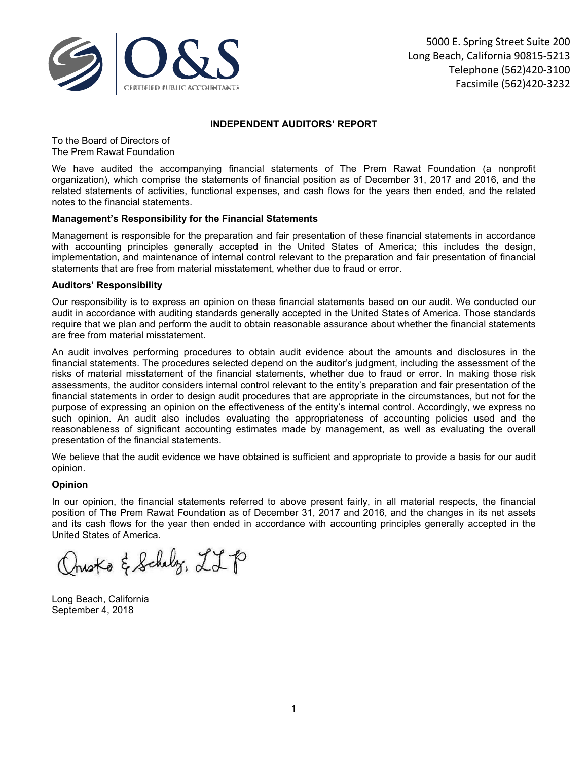

#### **INDEPENDENT AUDITORS' REPORT**

To the Board of Directors of The Prem Rawat Foundation

We have audited the accompanying financial statements of The Prem Rawat Foundation (a nonprofit organization), which comprise the statements of financial position as of December 31, 2017 and 2016, and the related statements of activities, functional expenses, and cash flows for the years then ended, and the related notes to the financial statements.

#### **Management's Responsibility for the Financial Statements**

Management is responsible for the preparation and fair presentation of these financial statements in accordance with accounting principles generally accepted in the United States of America; this includes the design, implementation, and maintenance of internal control relevant to the preparation and fair presentation of financial statements that are free from material misstatement, whether due to fraud or error.

#### **Auditors' Responsibility**

Our responsibility is to express an opinion on these financial statements based on our audit. We conducted our audit in accordance with auditing standards generally accepted in the United States of America. Those standards require that we plan and perform the audit to obtain reasonable assurance about whether the financial statements are free from material misstatement.

An audit involves performing procedures to obtain audit evidence about the amounts and disclosures in the financial statements. The procedures selected depend on the auditor's judgment, including the assessment of the risks of material misstatement of the financial statements, whether due to fraud or error. In making those risk assessments, the auditor considers internal control relevant to the entity's preparation and fair presentation of the financial statements in order to design audit procedures that are appropriate in the circumstances, but not for the purpose of expressing an opinion on the effectiveness of the entity's internal control. Accordingly, we express no such opinion. An audit also includes evaluating the appropriateness of accounting policies used and the reasonableness of significant accounting estimates made by management, as well as evaluating the overall presentation of the financial statements.

We believe that the audit evidence we have obtained is sufficient and appropriate to provide a basis for our audit opinion.

#### **Opinion**

In our opinion, the financial statements referred to above present fairly, in all material respects, the financial position of The Prem Rawat Foundation as of December 31, 2017 and 2016, and the changes in its net assets and its cash flows for the year then ended in accordance with accounting principles generally accepted in the United States of America.

husko & Schelz, LLP

Long Beach, California September 4, 2018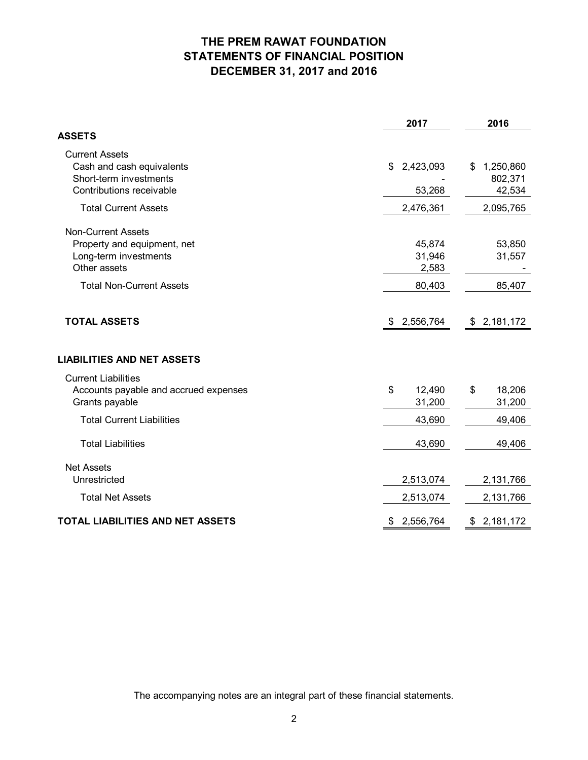# **THE PREM RAWAT FOUNDATION STATEMENTS OF FINANCIAL POSITION DECEMBER 31, 2017 and 2016**

|                                                                                                          | 2017                         | 2016                                 |
|----------------------------------------------------------------------------------------------------------|------------------------------|--------------------------------------|
| <b>ASSETS</b>                                                                                            |                              |                                      |
| <b>Current Assets</b><br>Cash and cash equivalents<br>Short-term investments<br>Contributions receivable | 2,423,093<br>\$<br>53,268    | 1,250,860<br>\$<br>802,371<br>42,534 |
| <b>Total Current Assets</b>                                                                              | 2,476,361                    | 2,095,765                            |
| <b>Non-Current Assets</b><br>Property and equipment, net<br>Long-term investments<br>Other assets        | 45,874<br>31,946<br>2,583    | 53,850<br>31,557                     |
| <b>Total Non-Current Assets</b>                                                                          | 80,403                       | 85,407                               |
| <b>TOTAL ASSETS</b><br><b>LIABILITIES AND NET ASSETS</b>                                                 | \$2,556,764                  | \$2,181,172                          |
| <b>Current Liabilities</b><br>Accounts payable and accrued expenses<br>Grants payable                    | \$<br>12,490<br>31,200       | 18,206<br>\$<br>31,200               |
| <b>Total Current Liabilities</b>                                                                         | 43,690                       | 49,406                               |
| <b>Total Liabilities</b>                                                                                 | 43,690                       | 49,406                               |
| <b>Net Assets</b><br>Unrestricted<br><b>Total Net Assets</b>                                             | 2,513,074                    | 2,131,766                            |
| TOTAL LIABILITIES AND NET ASSETS                                                                         | 2,513,074<br>2,556,764<br>\$ | 2,131,766<br>\$2,181,172             |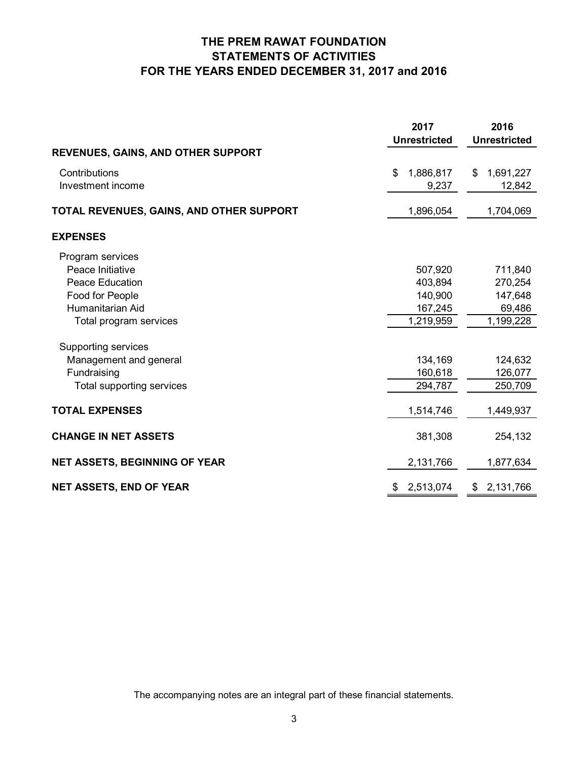# **THE PREM RAWAT FOUNDATION STATEMENTS OF ACTIVITIES FOR THE YEARS ENDED DECEMBER 31, 2017 and 2016**

|                                           | 2017                | 2016                |
|-------------------------------------------|---------------------|---------------------|
|                                           | <b>Unrestricted</b> | <b>Unrestricted</b> |
| <b>REVENUES, GAINS, AND OTHER SUPPORT</b> |                     |                     |
| Contributions                             | 1,886,817<br>\$     | 1,691,227<br>\$     |
| Investment income                         | 9,237               | 12,842              |
| TOTAL REVENUES, GAINS, AND OTHER SUPPORT  | 1,896,054           | 1,704,069           |
| <b>EXPENSES</b>                           |                     |                     |
| Program services                          |                     |                     |
| Peace Initiative                          | 507,920             | 711,840             |
| <b>Peace Education</b>                    | 403,894             | 270,254             |
| Food for People                           | 140,900             | 147,648             |
| Humanitarian Aid                          | 167,245             | 69,486              |
| Total program services                    | 1,219,959           | 1,199,228           |
| Supporting services                       |                     |                     |
| Management and general                    | 134,169             | 124,632             |
| Fundraising                               | 160,618             | 126,077             |
| Total supporting services                 | 294,787             | 250,709             |
|                                           |                     |                     |
| <b>TOTAL EXPENSES</b>                     | 1,514,746           | 1,449,937           |
| <b>CHANGE IN NET ASSETS</b>               | 381,308             | 254,132             |
| <b>NET ASSETS, BEGINNING OF YEAR</b>      | 2,131,766           | 1,877,634           |
| <b>NET ASSETS, END OF YEAR</b>            | 2,513,074<br>\$     | 2,131,766<br>\$     |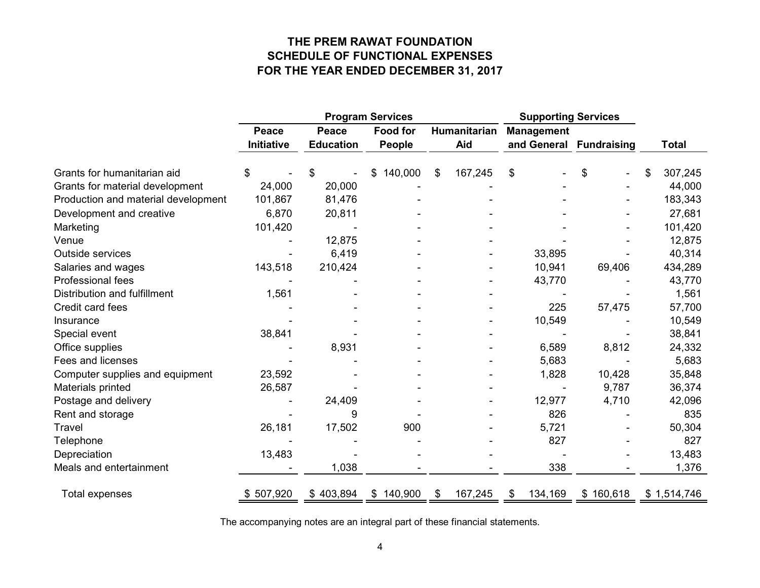# **THE PREM RAWAT FOUNDATION SCHEDULE OF FUNCTIONAL EXPENSES FOR THE YEAR ENDED DECEMBER 31, 2017**

|                                     | <b>Program Services</b> |                  |                 |              | <b>Supporting Services</b> |                         |           |    |              |
|-------------------------------------|-------------------------|------------------|-----------------|--------------|----------------------------|-------------------------|-----------|----|--------------|
|                                     | <b>Peace</b>            | Peace            | <b>Food for</b> | Humanitarian |                            | <b>Management</b>       |           |    |              |
|                                     | <b>Initiative</b>       | <b>Education</b> | <b>People</b>   | Aid          |                            | and General Fundraising |           |    | <b>Total</b> |
| Grants for humanitarian aid         |                         | \$               | 140,000<br>\$   | \$           | 167,245                    | \$                      | \$        | \$ | 307,245      |
| Grants for material development     | 24,000                  | 20,000           |                 |              |                            |                         |           |    | 44,000       |
| Production and material development | 101,867                 | 81,476           |                 |              |                            |                         |           |    | 183,343      |
| Development and creative            | 6,870                   | 20,811           |                 |              |                            |                         |           |    | 27,681       |
| Marketing                           | 101,420                 |                  |                 |              |                            |                         |           |    | 101,420      |
| Venue                               |                         | 12,875           |                 |              |                            |                         |           |    | 12,875       |
| Outside services                    |                         | 6,419            |                 |              |                            | 33,895                  |           |    | 40,314       |
| Salaries and wages                  | 143,518                 | 210,424          |                 |              |                            | 10,941                  | 69,406    |    | 434,289      |
| Professional fees                   |                         |                  |                 |              |                            | 43,770                  |           |    | 43,770       |
| Distribution and fulfillment        | 1,561                   |                  |                 |              |                            |                         |           |    | 1,561        |
| Credit card fees                    |                         |                  |                 |              |                            | 225                     | 57,475    |    | 57,700       |
| Insurance                           |                         |                  |                 |              |                            | 10,549                  |           |    | 10,549       |
| Special event                       | 38,841                  |                  |                 |              |                            |                         |           |    | 38,841       |
| Office supplies                     |                         | 8,931            |                 |              |                            | 6,589                   | 8,812     |    | 24,332       |
| Fees and licenses                   |                         |                  |                 |              |                            | 5,683                   |           |    | 5,683        |
| Computer supplies and equipment     | 23,592                  |                  |                 |              |                            | 1,828                   | 10,428    |    | 35,848       |
| Materials printed                   | 26,587                  |                  |                 |              |                            |                         | 9,787     |    | 36,374       |
| Postage and delivery                |                         | 24,409           |                 |              |                            | 12,977                  | 4,710     |    | 42,096       |
| Rent and storage                    |                         | 9                |                 |              |                            | 826                     |           |    | 835          |
| Travel                              | 26,181                  | 17,502           | 900             |              |                            | 5,721                   |           |    | 50,304       |
| Telephone                           |                         |                  |                 |              |                            | 827                     |           |    | 827          |
| Depreciation                        | 13,483                  |                  |                 |              |                            |                         |           |    | 13,483       |
| Meals and entertainment             |                         | 1,038            |                 |              |                            | 338                     |           |    | 1,376        |
| Total expenses                      | \$507,920               | \$403,894        | \$140,900       | \$           | 167,245                    | 134,169<br>\$           | \$160,618 |    | \$1,514,746  |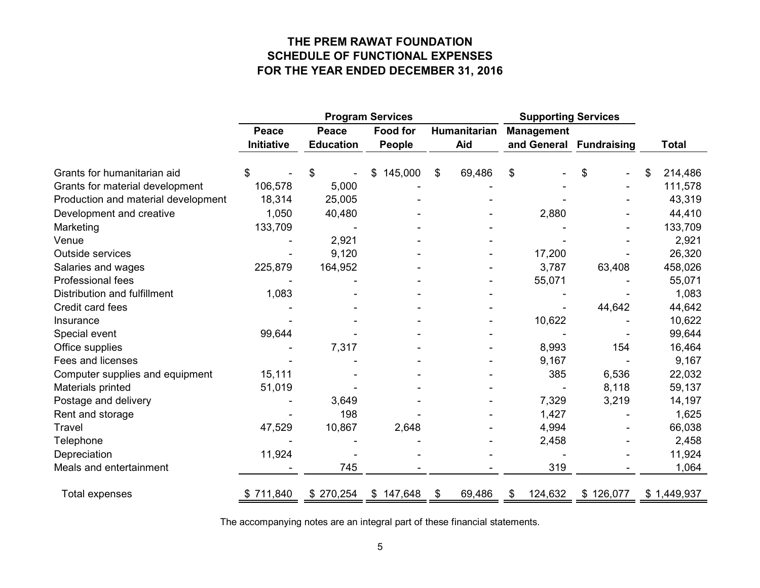# **THE PREM RAWAT FOUNDATION SCHEDULE OF FUNCTIONAL EXPENSES FOR THE YEAR ENDED DECEMBER 31, 2016**

|                                     | <b>Program Services</b> |                  |                 | <b>Supporting Services</b> |                         |           |    |              |
|-------------------------------------|-------------------------|------------------|-----------------|----------------------------|-------------------------|-----------|----|--------------|
|                                     | <b>Peace</b>            | Peace            | <b>Food for</b> | Humanitarian               | <b>Management</b>       |           |    |              |
|                                     | <b>Initiative</b>       | <b>Education</b> | <b>People</b>   | Aid                        | and General Fundraising |           |    | <b>Total</b> |
| Grants for humanitarian aid         | \$                      | \$               | 145,000<br>\$   | \$<br>69,486               | \$                      | \$        | \$ | 214,486      |
| Grants for material development     | 106,578                 | 5,000            |                 |                            |                         |           |    | 111,578      |
| Production and material development | 18,314                  | 25,005           |                 |                            |                         |           |    | 43,319       |
| Development and creative            | 1,050                   | 40,480           |                 |                            | 2,880                   |           |    | 44,410       |
| Marketing                           | 133,709                 |                  |                 |                            |                         |           |    | 133,709      |
| Venue                               |                         | 2,921            |                 |                            |                         |           |    | 2,921        |
| Outside services                    |                         | 9,120            |                 |                            | 17,200                  |           |    | 26,320       |
| Salaries and wages                  | 225,879                 | 164,952          |                 |                            | 3,787                   | 63,408    |    | 458,026      |
| Professional fees                   |                         |                  |                 |                            | 55,071                  |           |    | 55,071       |
| Distribution and fulfillment        | 1,083                   |                  |                 |                            |                         |           |    | 1,083        |
| Credit card fees                    |                         |                  |                 |                            |                         | 44,642    |    | 44,642       |
| Insurance                           |                         |                  |                 |                            | 10,622                  |           |    | 10,622       |
| Special event                       | 99,644                  |                  |                 |                            |                         |           |    | 99,644       |
| Office supplies                     |                         | 7,317            |                 |                            | 8,993                   | 154       |    | 16,464       |
| Fees and licenses                   |                         |                  |                 |                            | 9,167                   |           |    | 9,167        |
| Computer supplies and equipment     | 15,111                  |                  |                 |                            | 385                     | 6,536     |    | 22,032       |
| Materials printed                   | 51,019                  |                  |                 |                            |                         | 8,118     |    | 59,137       |
| Postage and delivery                |                         | 3,649            |                 |                            | 7,329                   | 3,219     |    | 14,197       |
| Rent and storage                    |                         | 198              |                 |                            | 1,427                   |           |    | 1,625        |
| <b>Travel</b>                       | 47,529                  | 10,867           | 2,648           |                            | 4,994                   |           |    | 66,038       |
| Telephone                           |                         |                  |                 |                            | 2,458                   |           |    | 2,458        |
| Depreciation                        | 11,924                  |                  |                 |                            |                         |           |    | 11,924       |
| Meals and entertainment             |                         | 745              |                 |                            | 319                     |           |    | 1,064        |
| Total expenses                      | \$711,840               | \$270,254        | \$147,648       | \$<br>69,486               | 124,632<br>\$           | \$126,077 |    | \$1,449,937  |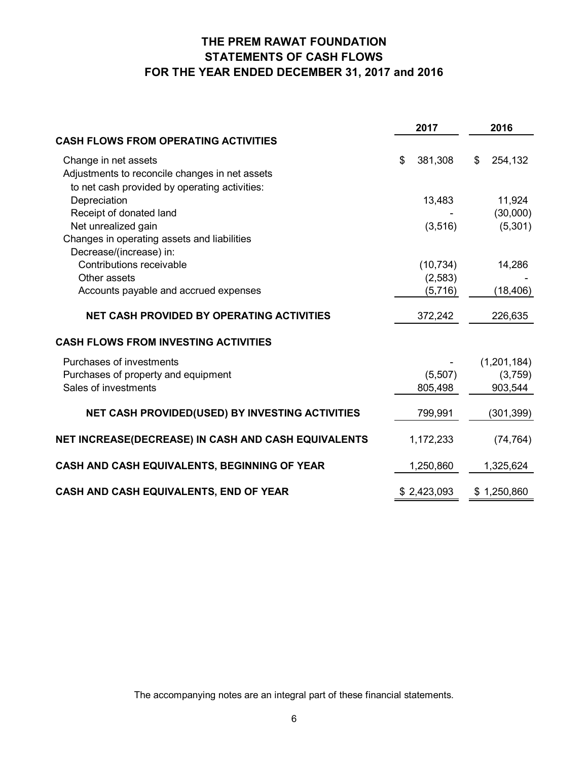# **THE PREM RAWAT FOUNDATION STATEMENTS OF CASH FLOWS FOR THE YEAR ENDED DECEMBER 31, 2017 and 2016**

|                                                     | 2017          | 2016          |
|-----------------------------------------------------|---------------|---------------|
| <b>CASH FLOWS FROM OPERATING ACTIVITIES</b>         |               |               |
| Change in net assets                                | \$<br>381,308 | \$<br>254,132 |
| Adjustments to reconcile changes in net assets      |               |               |
| to net cash provided by operating activities:       |               |               |
| Depreciation                                        | 13,483        | 11,924        |
| Receipt of donated land                             |               | (30,000)      |
| Net unrealized gain                                 | (3, 516)      | (5,301)       |
| Changes in operating assets and liabilities         |               |               |
| Decrease/(increase) in:                             |               |               |
| Contributions receivable                            | (10, 734)     | 14,286        |
| Other assets                                        | (2,583)       |               |
| Accounts payable and accrued expenses               | (5,716)       | (18, 406)     |
| <b>NET CASH PROVIDED BY OPERATING ACTIVITIES</b>    | 372,242       | 226,635       |
| <b>CASH FLOWS FROM INVESTING ACTIVITIES</b>         |               |               |
| Purchases of investments                            |               | (1,201,184)   |
| Purchases of property and equipment                 | (5,507)       | (3,759)       |
| Sales of investments                                | 805,498       | 903,544       |
| NET CASH PROVIDED(USED) BY INVESTING ACTIVITIES     | 799,991       | (301, 399)    |
|                                                     |               |               |
| NET INCREASE(DECREASE) IN CASH AND CASH EQUIVALENTS | 1,172,233     | (74, 764)     |
| CASH AND CASH EQUIVALENTS, BEGINNING OF YEAR        | 1,250,860     | 1,325,624     |
| CASH AND CASH EQUIVALENTS, END OF YEAR              | \$2,423,093   | \$1,250,860   |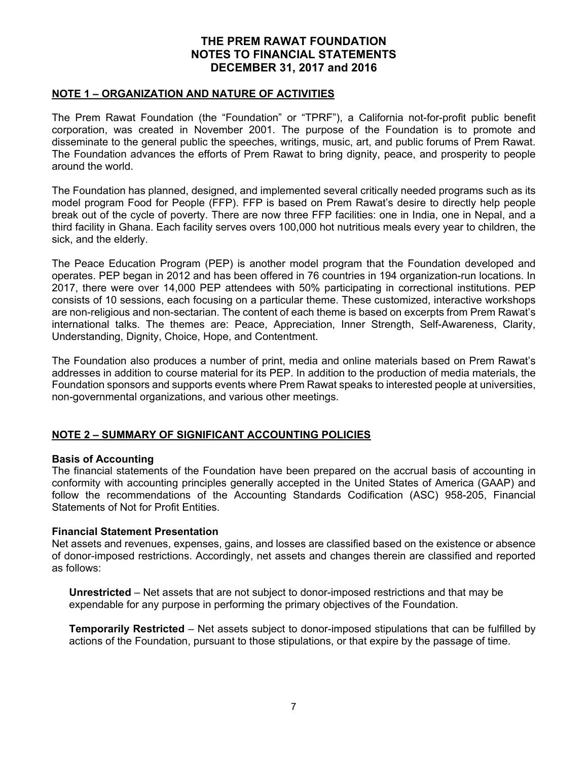### **NOTE 1 – ORGANIZATION AND NATURE OF ACTIVITIES**

The Prem Rawat Foundation (the "Foundation" or "TPRF"), a California not-for-profit public benefit corporation, was created in November 2001. The purpose of the Foundation is to promote and disseminate to the general public the speeches, writings, music, art, and public forums of Prem Rawat. The Foundation advances the efforts of Prem Rawat to bring dignity, peace, and prosperity to people around the world.

The Foundation has planned, designed, and implemented several critically needed programs such as its model program Food for People (FFP). FFP is based on Prem Rawat's desire to directly help people break out of the cycle of poverty. There are now three FFP facilities: one in India, one in Nepal, and a third facility in Ghana. Each facility serves overs 100,000 hot nutritious meals every year to children, the sick, and the elderly.

The Peace Education Program (PEP) is another model program that the Foundation developed and operates. PEP began in 2012 and has been offered in 76 countries in 194 organization-run locations. In 2017, there were over 14,000 PEP attendees with 50% participating in correctional institutions. PEP consists of 10 sessions, each focusing on a particular theme. These customized, interactive workshops are non-religious and non-sectarian. The content of each theme is based on excerpts from Prem Rawat's international talks. The themes are: Peace, Appreciation, Inner Strength, Self-Awareness, Clarity, Understanding, Dignity, Choice, Hope, and Contentment.

The Foundation also produces a number of print, media and online materials based on Prem Rawat's addresses in addition to course material for its PEP. In addition to the production of media materials, the Foundation sponsors and supports events where Prem Rawat speaks to interested people at universities, non-governmental organizations, and various other meetings.

## **NOTE 2 – SUMMARY OF SIGNIFICANT ACCOUNTING POLICIES**

#### **Basis of Accounting**

The financial statements of the Foundation have been prepared on the accrual basis of accounting in conformity with accounting principles generally accepted in the United States of America (GAAP) and follow the recommendations of the Accounting Standards Codification (ASC) 958-205, Financial Statements of Not for Profit Entities.

#### **Financial Statement Presentation**

Net assets and revenues, expenses, gains, and losses are classified based on the existence or absence of donor-imposed restrictions. Accordingly, net assets and changes therein are classified and reported as follows:

**Unrestricted** – Net assets that are not subject to donor-imposed restrictions and that may be expendable for any purpose in performing the primary objectives of the Foundation.

**Temporarily Restricted** – Net assets subject to donor-imposed stipulations that can be fulfilled by actions of the Foundation, pursuant to those stipulations, or that expire by the passage of time.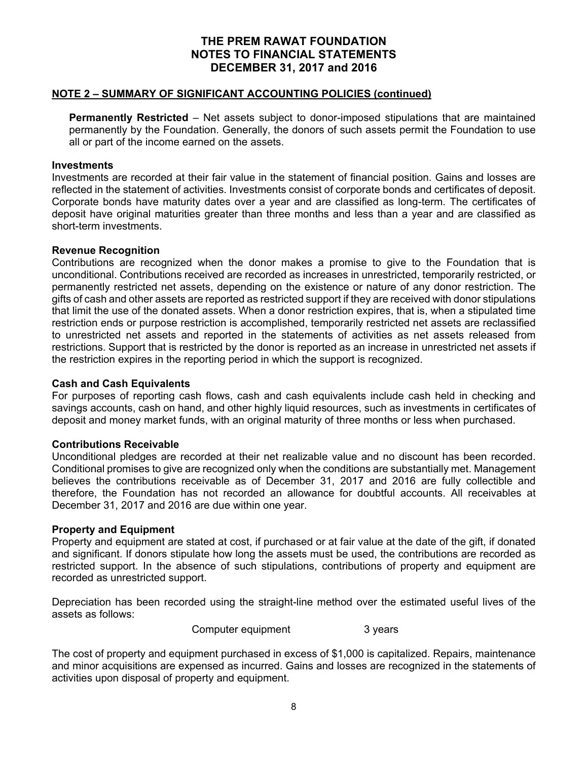### **NOTE 2 – SUMMARY OF SIGNIFICANT ACCOUNTING POLICIES (continued)**

**Permanently Restricted** – Net assets subject to donor-imposed stipulations that are maintained permanently by the Foundation. Generally, the donors of such assets permit the Foundation to use all or part of the income earned on the assets.

#### **Investments**

Investments are recorded at their fair value in the statement of financial position. Gains and losses are reflected in the statement of activities. Investments consist of corporate bonds and certificates of deposit. Corporate bonds have maturity dates over a year and are classified as long-term. The certificates of deposit have original maturities greater than three months and less than a year and are classified as short-term investments.

#### **Revenue Recognition**

Contributions are recognized when the donor makes a promise to give to the Foundation that is unconditional. Contributions received are recorded as increases in unrestricted, temporarily restricted, or permanently restricted net assets, depending on the existence or nature of any donor restriction. The gifts of cash and other assets are reported as restricted support if they are received with donor stipulations that limit the use of the donated assets. When a donor restriction expires, that is, when a stipulated time restriction ends or purpose restriction is accomplished, temporarily restricted net assets are reclassified to unrestricted net assets and reported in the statements of activities as net assets released from restrictions. Support that is restricted by the donor is reported as an increase in unrestricted net assets if the restriction expires in the reporting period in which the support is recognized.

#### **Cash and Cash Equivalents**

For purposes of reporting cash flows, cash and cash equivalents include cash held in checking and savings accounts, cash on hand, and other highly liquid resources, such as investments in certificates of deposit and money market funds, with an original maturity of three months or less when purchased.

### **Contributions Receivable**

Unconditional pledges are recorded at their net realizable value and no discount has been recorded. Conditional promises to give are recognized only when the conditions are substantially met. Management believes the contributions receivable as of December 31, 2017 and 2016 are fully collectible and therefore, the Foundation has not recorded an allowance for doubtful accounts. All receivables at December 31, 2017 and 2016 are due within one year.

### **Property and Equipment**

Property and equipment are stated at cost, if purchased or at fair value at the date of the gift, if donated and significant. If donors stipulate how long the assets must be used, the contributions are recorded as restricted support. In the absence of such stipulations, contributions of property and equipment are recorded as unrestricted support.

Depreciation has been recorded using the straight-line method over the estimated useful lives of the assets as follows:

Computer equipment 3 years

The cost of property and equipment purchased in excess of \$1,000 is capitalized. Repairs, maintenance and minor acquisitions are expensed as incurred. Gains and losses are recognized in the statements of activities upon disposal of property and equipment.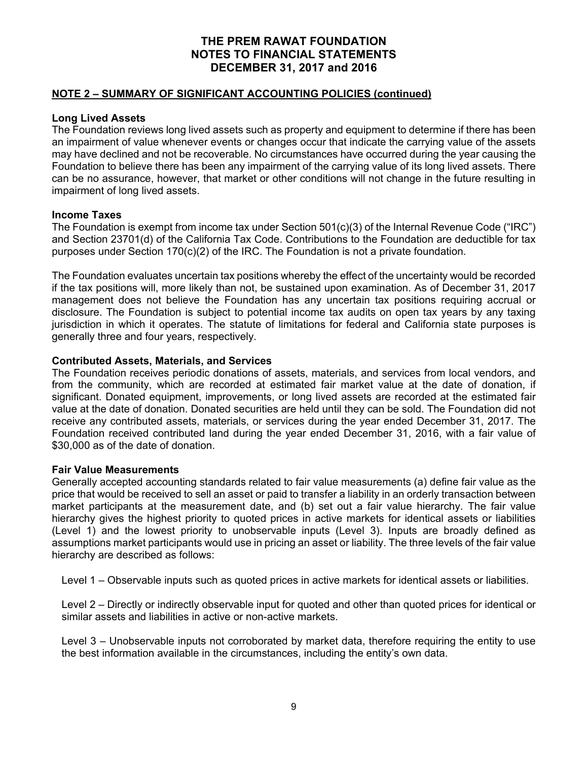## **NOTE 2 – SUMMARY OF SIGNIFICANT ACCOUNTING POLICIES (continued)**

## **Long Lived Assets**

The Foundation reviews long lived assets such as property and equipment to determine if there has been an impairment of value whenever events or changes occur that indicate the carrying value of the assets may have declined and not be recoverable. No circumstances have occurred during the year causing the Foundation to believe there has been any impairment of the carrying value of its long lived assets. There can be no assurance, however, that market or other conditions will not change in the future resulting in impairment of long lived assets.

### **Income Taxes**

The Foundation is exempt from income tax under Section 501(c)(3) of the Internal Revenue Code ("IRC") and Section 23701(d) of the California Tax Code. Contributions to the Foundation are deductible for tax purposes under Section 170(c)(2) of the IRC. The Foundation is not a private foundation.

The Foundation evaluates uncertain tax positions whereby the effect of the uncertainty would be recorded if the tax positions will, more likely than not, be sustained upon examination. As of December 31, 2017 management does not believe the Foundation has any uncertain tax positions requiring accrual or disclosure. The Foundation is subject to potential income tax audits on open tax years by any taxing jurisdiction in which it operates. The statute of limitations for federal and California state purposes is generally three and four years, respectively.

## **Contributed Assets, Materials, and Services**

The Foundation receives periodic donations of assets, materials, and services from local vendors, and from the community, which are recorded at estimated fair market value at the date of donation, if significant. Donated equipment, improvements, or long lived assets are recorded at the estimated fair value at the date of donation. Donated securities are held until they can be sold. The Foundation did not receive any contributed assets, materials, or services during the year ended December 31, 2017. The Foundation received contributed land during the year ended December 31, 2016, with a fair value of \$30,000 as of the date of donation.

### **Fair Value Measurements**

Generally accepted accounting standards related to fair value measurements (a) define fair value as the price that would be received to sell an asset or paid to transfer a liability in an orderly transaction between market participants at the measurement date, and (b) set out a fair value hierarchy. The fair value hierarchy gives the highest priority to quoted prices in active markets for identical assets or liabilities (Level 1) and the lowest priority to unobservable inputs (Level 3). Inputs are broadly defined as assumptions market participants would use in pricing an asset or liability. The three levels of the fair value hierarchy are described as follows:

Level 1 – Observable inputs such as quoted prices in active markets for identical assets or liabilities.

Level 2 – Directly or indirectly observable input for quoted and other than quoted prices for identical or similar assets and liabilities in active or non-active markets.

Level 3 – Unobservable inputs not corroborated by market data, therefore requiring the entity to use the best information available in the circumstances, including the entity's own data.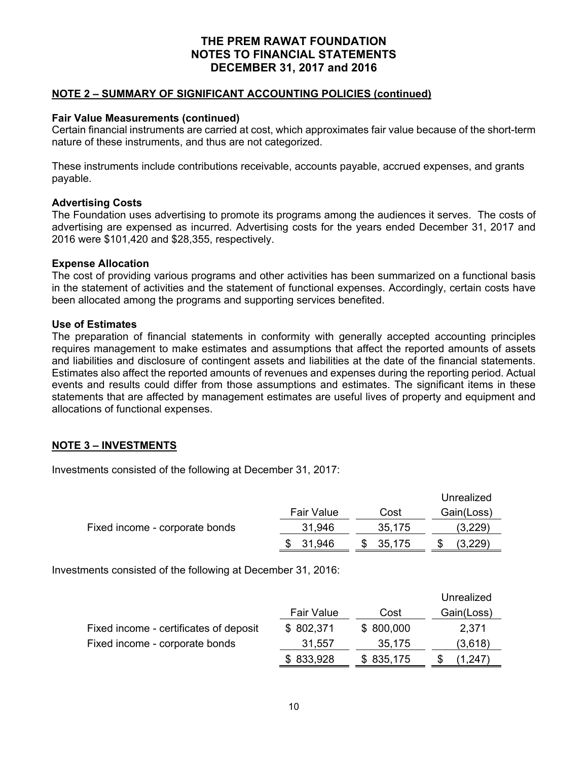## **NOTE 2 – SUMMARY OF SIGNIFICANT ACCOUNTING POLICIES (continued)**

### **Fair Value Measurements (continued)**

Certain financial instruments are carried at cost, which approximates fair value because of the short-term nature of these instruments, and thus are not categorized.

These instruments include contributions receivable, accounts payable, accrued expenses, and grants payable.

## **Advertising Costs**

The Foundation uses advertising to promote its programs among the audiences it serves. The costs of advertising are expensed as incurred. Advertising costs for the years ended December 31, 2017 and 2016 were \$101,420 and \$28,355, respectively.

## **Expense Allocation**

The cost of providing various programs and other activities has been summarized on a functional basis in the statement of activities and the statement of functional expenses. Accordingly, certain costs have been allocated among the programs and supporting services benefited.

## **Use of Estimates**

The preparation of financial statements in conformity with generally accepted accounting principles requires management to make estimates and assumptions that affect the reported amounts of assets and liabilities and disclosure of contingent assets and liabilities at the date of the financial statements. Estimates also affect the reported amounts of revenues and expenses during the reporting period. Actual events and results could differ from those assumptions and estimates. The significant items in these statements that are affected by management estimates are useful lives of property and equipment and allocations of functional expenses.

## **NOTE 3 – INVESTMENTS**

Investments consisted of the following at December 31, 2017:

|                                |            |        | Unrealized |
|--------------------------------|------------|--------|------------|
|                                | Fair Value | Cost   | Gain(Loss) |
| Fixed income - corporate bonds | 31,946     | 35,175 | (3,229)    |
|                                | 31,946     | 35,175 | .3,229'    |

Investments consisted of the following at December 31, 2016:

|                                        |                   |           | Unrealized |
|----------------------------------------|-------------------|-----------|------------|
|                                        | <b>Fair Value</b> | Cost      | Gain(Loss) |
| Fixed income - certificates of deposit | \$802,371         | \$800,000 | 2,371      |
| Fixed income - corporate bonds         | 31,557            | 35,175    | (3,618)    |
|                                        | \$833,928         | \$835,175 | (1,247)    |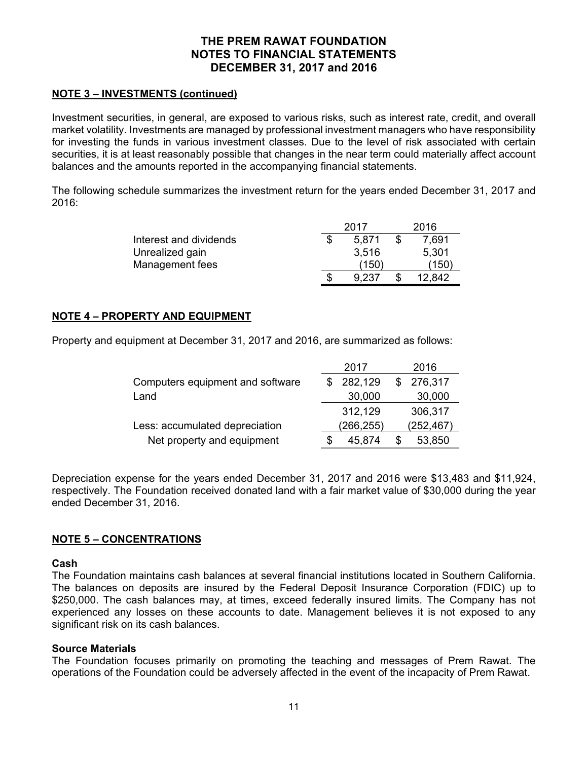## **NOTE 3 – INVESTMENTS (continued)**

Investment securities, in general, are exposed to various risks, such as interest rate, credit, and overall market volatility. Investments are managed by professional investment managers who have responsibility for investing the funds in various investment classes. Due to the level of risk associated with certain securities, it is at least reasonably possible that changes in the near term could materially affect account balances and the amounts reported in the accompanying financial statements.

The following schedule summarizes the investment return for the years ended December 31, 2017 and 2016:

|                        | 2017  | 2016   |
|------------------------|-------|--------|
| Interest and dividends | 5.871 | 7,691  |
| Unrealized gain        | 3,516 | 5,301  |
| Management fees        | (150) | (150)  |
|                        | 9.237 | 12.842 |

## **NOTE 4 – PROPERTY AND EQUIPMENT**

Property and equipment at December 31, 2017 and 2016, are summarized as follows:

|                                  | 2017        | 2016           |
|----------------------------------|-------------|----------------|
| Computers equipment and software | 282,129     | 276,317<br>\$. |
| Land                             | 30,000      | 30,000         |
|                                  | 312,129     | 306,317        |
| Less: accumulated depreciation   | (266,255)   | (252,467)      |
| Net property and equipment       | 45,874<br>S | 53,850<br>S    |

Depreciation expense for the years ended December 31, 2017 and 2016 were \$13,483 and \$11,924, respectively. The Foundation received donated land with a fair market value of \$30,000 during the year ended December 31, 2016.

## **NOTE 5 – CONCENTRATIONS**

### **Cash**

The Foundation maintains cash balances at several financial institutions located in Southern California. The balances on deposits are insured by the Federal Deposit Insurance Corporation (FDIC) up to \$250,000. The cash balances may, at times, exceed federally insured limits. The Company has not experienced any losses on these accounts to date. Management believes it is not exposed to any significant risk on its cash balances.

### **Source Materials**

The Foundation focuses primarily on promoting the teaching and messages of Prem Rawat. The operations of the Foundation could be adversely affected in the event of the incapacity of Prem Rawat.